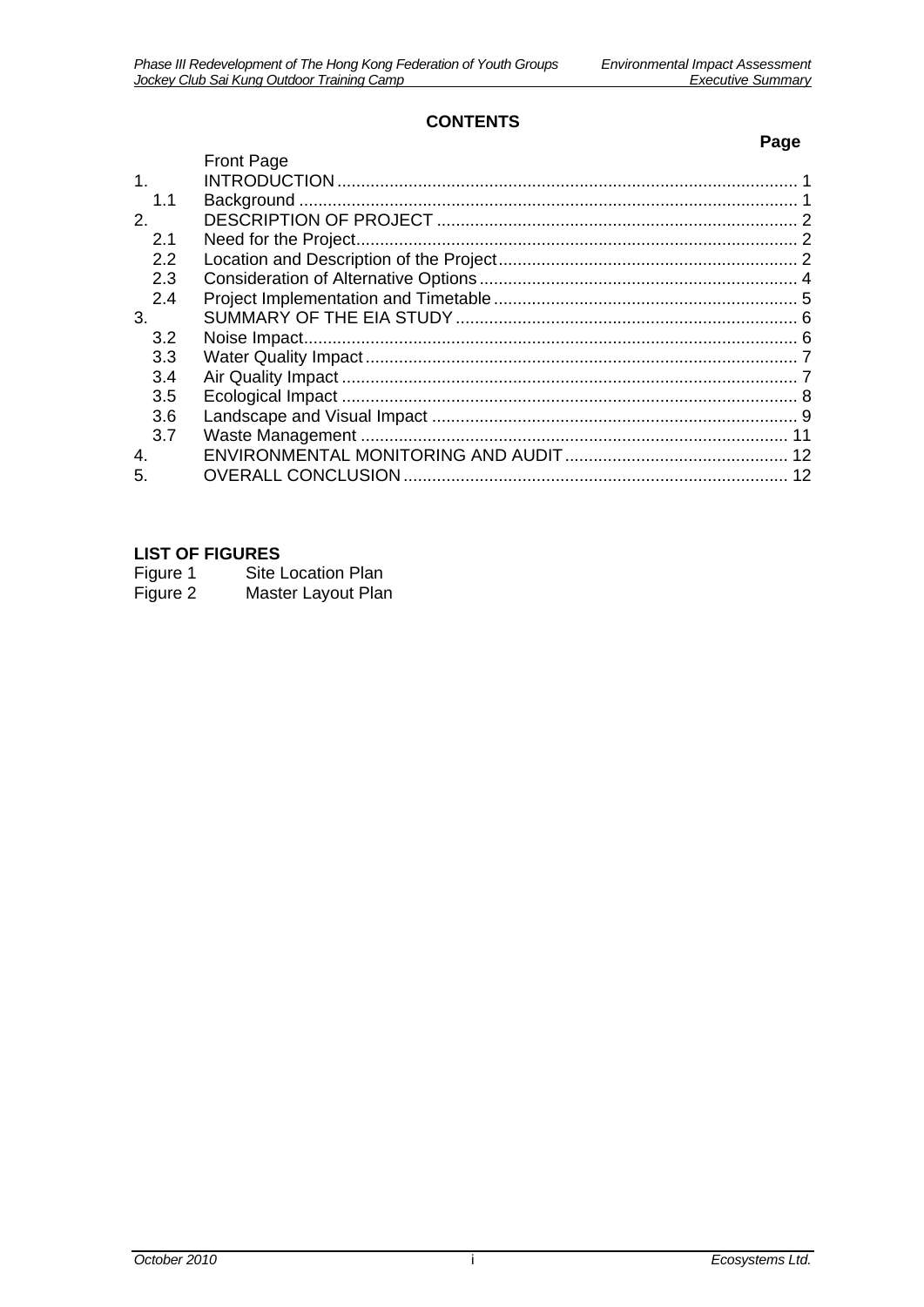#### **CONTENTS**

|                |                   | Page |
|----------------|-------------------|------|
|                | <b>Front Page</b> |      |
| 1 <sub>1</sub> |                   |      |
| 1.1            |                   |      |
| 2.             |                   |      |
| 2.1            |                   |      |
| 2.2            |                   |      |
| 2.3            |                   |      |
| 2.4            |                   |      |
| 3.             |                   |      |
| 3.2            |                   |      |
| 3.3            |                   |      |
| 3.4            |                   |      |
| 3.5            |                   |      |
| 3.6            |                   |      |
| 3.7            |                   |      |
| 4.             |                   |      |
| 5.             |                   |      |

## **LIST OF FIGURES**

| Figure 1 | Site Location Plan |
|----------|--------------------|
| Figure 2 | Master Layout Plan |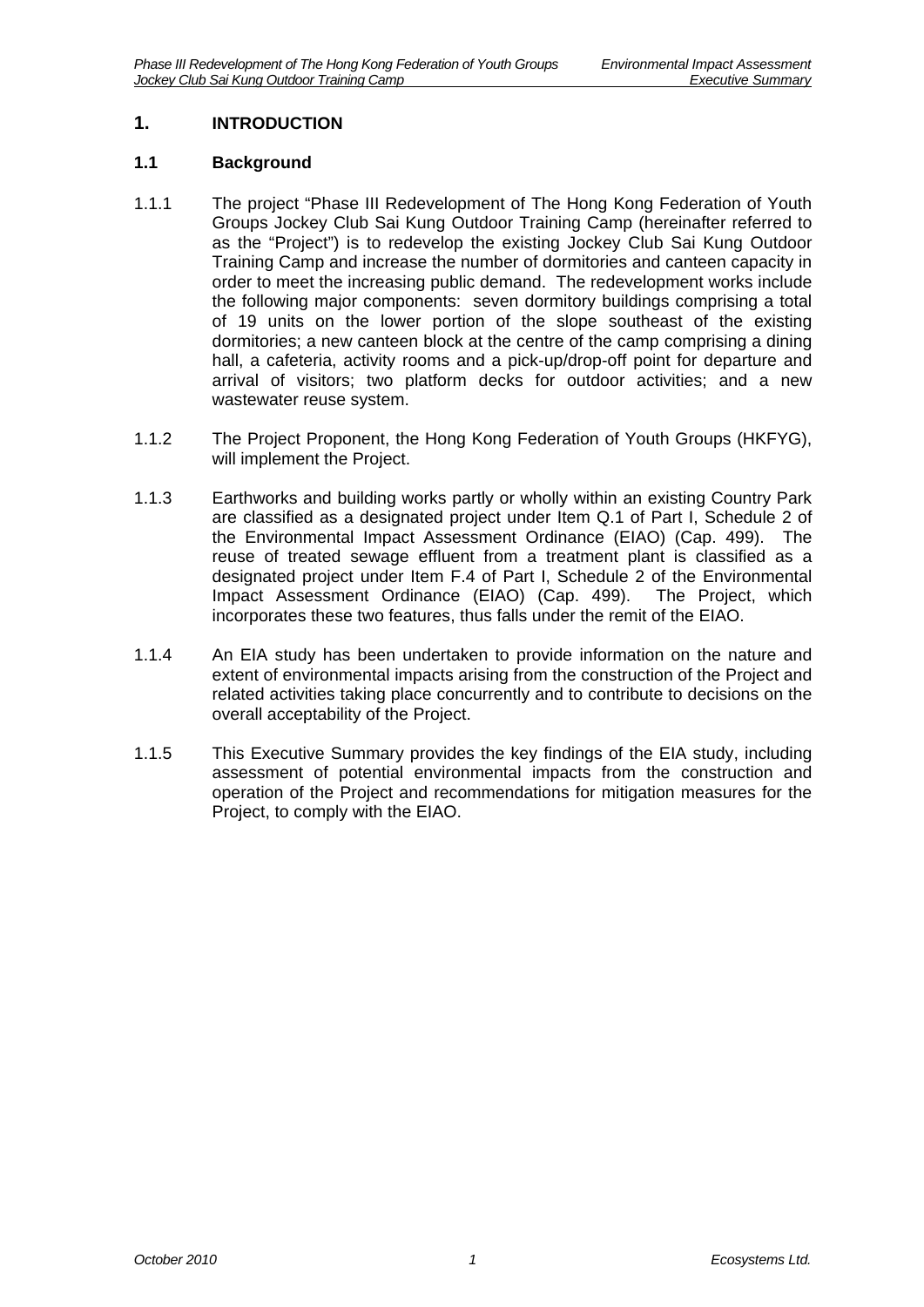## <span id="page-1-0"></span>**1. INTRODUCTION**

#### <span id="page-1-1"></span>**1.1 Background**

- 1.1.1 The project "Phase III Redevelopment of The Hong Kong Federation of Youth Groups Jockey Club Sai Kung Outdoor Training Camp (hereinafter referred to as the "Project") is to redevelop the existing Jockey Club Sai Kung Outdoor Training Camp and increase the number of dormitories and canteen capacity in order to meet the increasing public demand. The redevelopment works include the following major components: seven dormitory buildings comprising a total of 19 units on the lower portion of the slope southeast of the existing dormitories; a new canteen block at the centre of the camp comprising a dining hall, a cafeteria, activity rooms and a pick-up/drop-off point for departure and arrival of visitors; two platform decks for outdoor activities; and a new wastewater reuse system.
- 1.1.2 The Project Proponent, the Hong Kong Federation of Youth Groups (HKFYG), will implement the Project.
- 1.1.3 Earthworks and building works partly or wholly within an existing Country Park are classified as a designated project under Item Q.1 of Part I, Schedule 2 of the Environmental Impact Assessment Ordinance (EIAO) (Cap. 499). The reuse of treated sewage effluent from a treatment plant is classified as a designated project under Item F.4 of Part I, Schedule 2 of the Environmental Impact Assessment Ordinance (EIAO) (Cap. 499). The Project, which incorporates these two features, thus falls under the remit of the EIAO.
- 1.1.4 An EIA study has been undertaken to provide information on the nature and extent of environmental impacts arising from the construction of the Project and related activities taking place concurrently and to contribute to decisions on the overall acceptability of the Project.
- 1.1.5 This Executive Summary provides the key findings of the EIA study, including assessment of potential environmental impacts from the construction and operation of the Project and recommendations for mitigation measures for the Project, to comply with the EIAO.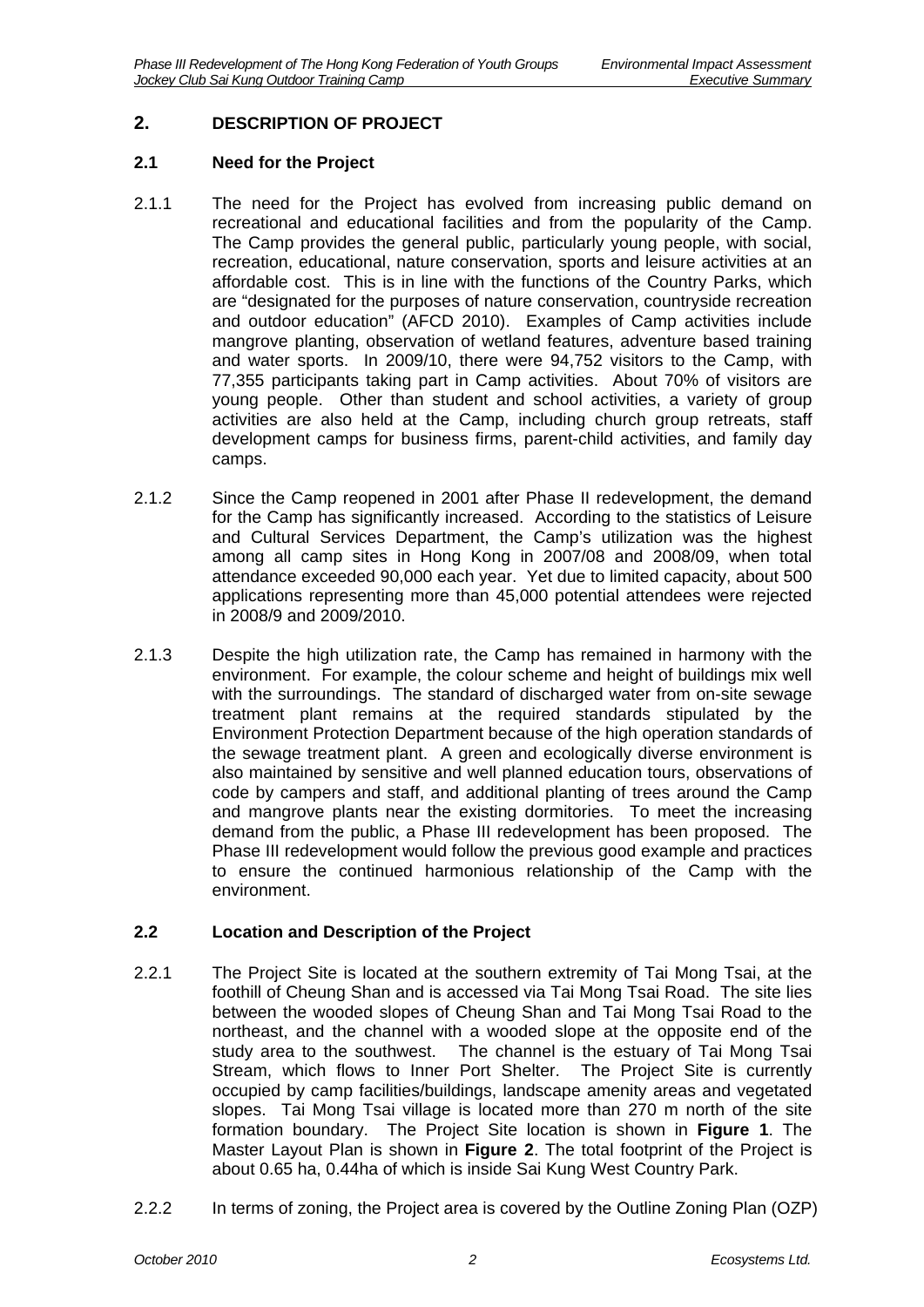## <span id="page-2-0"></span>**2. DESCRIPTION OF PROJECT**

#### <span id="page-2-1"></span>**2.1 Need for the Project**

- 2.1.1 The need for the Project has evolved from increasing public demand on recreational and educational facilities and from the popularity of the Camp. The Camp provides the general public, particularly young people, with social, recreation, educational, nature conservation, sports and leisure activities at an affordable cost. This is in line with the functions of the Country Parks, which are "designated for the purposes of nature conservation, countryside recreation and outdoor education" (AFCD 2010). Examples of Camp activities include mangrove planting, observation of wetland features, adventure based training and water sports. In 2009/10, there were 94,752 visitors to the Camp, with 77,355 participants taking part in Camp activities. About 70% of visitors are young people. Other than student and school activities, a variety of group activities are also held at the Camp, including church group retreats, staff development camps for business firms, parent-child activities, and family day camps.
- 2.1.2 Since the Camp reopened in 2001 after Phase II redevelopment, the demand for the Camp has significantly increased. According to the statistics of Leisure and Cultural Services Department, the Camp's utilization was the highest among all camp sites in Hong Kong in 2007/08 and 2008/09, when total attendance exceeded 90,000 each year. Yet due to limited capacity, about 500 applications representing more than 45,000 potential attendees were rejected in 2008/9 and 2009/2010.
- 2.1.3 Despite the high utilization rate, the Camp has remained in harmony with the environment. For example, the colour scheme and height of buildings mix well with the surroundings. The standard of discharged water from on-site sewage treatment plant remains at the required standards stipulated by the Environment Protection Department because of the high operation standards of the sewage treatment plant. A green and ecologically diverse environment is also maintained by sensitive and well planned education tours, observations of code by campers and staff, and additional planting of trees around the Camp and mangrove plants near the existing dormitories. To meet the increasing demand from the public, a Phase III redevelopment has been proposed. The Phase III redevelopment would follow the previous good example and practices to ensure the continued harmonious relationship of the Camp with the environment.

#### <span id="page-2-2"></span>**2.2 Location and Description of the Project**

- 2.2.1 The Project Site is located at the southern extremity of Tai Mong Tsai, at the foothill of Cheung Shan and is accessed via Tai Mong Tsai Road. The site lies between the wooded slopes of Cheung Shan and Tai Mong Tsai Road to the northeast, and the channel with a wooded slope at the opposite end of the study area to the southwest. The channel is the estuary of Tai Mong Tsai The channel is the estuary of Tai Mong Tsai Stream, which flows to Inner Port Shelter. The Project Site is currently occupied by camp facilities/buildings, landscape amenity areas and vegetated slopes. Tai Mong Tsai village is located more than 270 m north of the site formation boundary. The Project Site location is shown in **Figure 1**. The Master Layout Plan is shown in **Figure 2**. The total footprint of the Project is about 0.65 ha, 0.44ha of which is inside Sai Kung West Country Park.
- 2.2.2 In terms of zoning, the Project area is covered by the Outline Zoning Plan (OZP)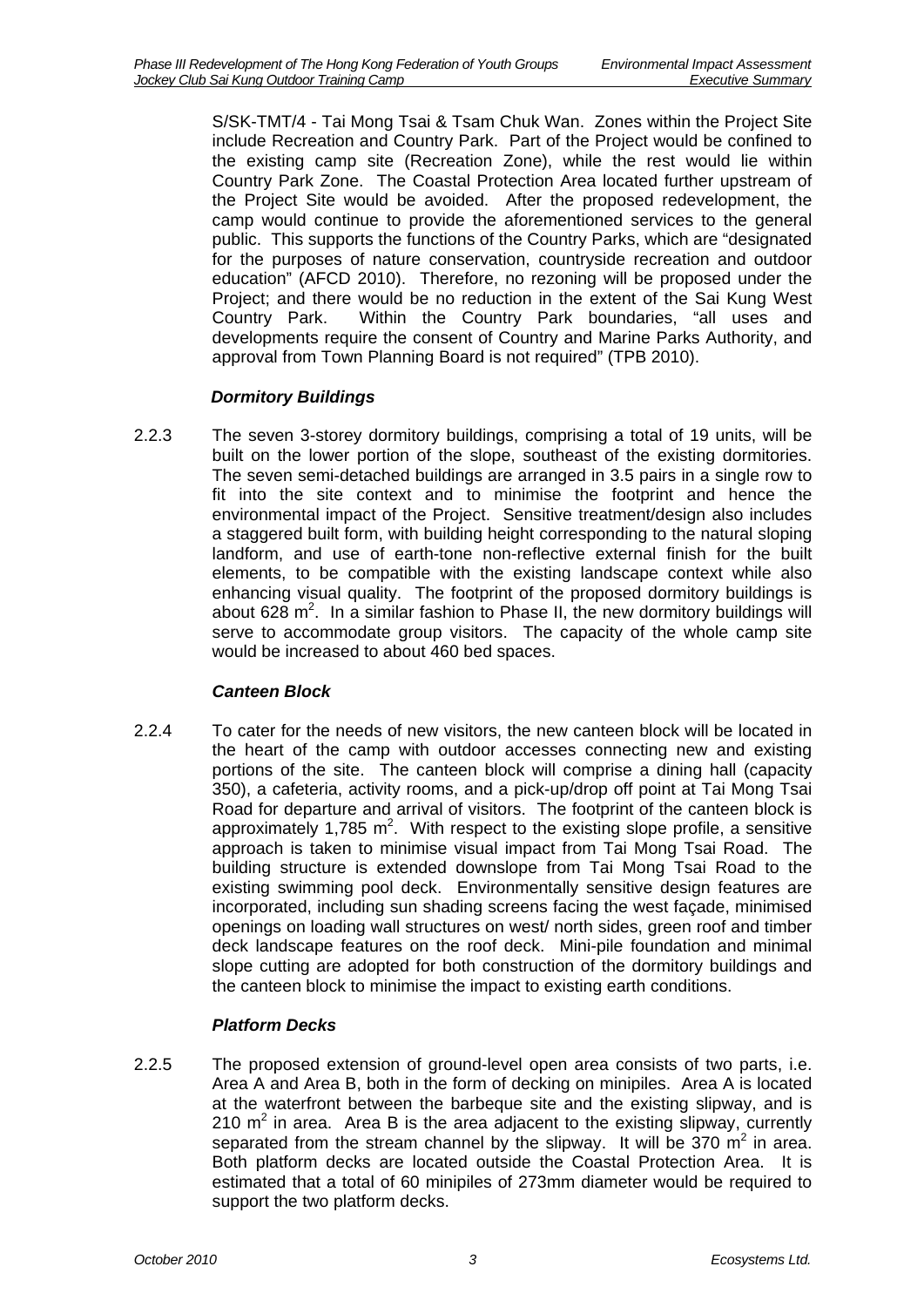S/SK-TMT/4 - Tai Mong Tsai & Tsam Chuk Wan. Zones within the Project Site include Recreation and Country Park. Part of the Project would be confined to the existing camp site (Recreation Zone), while the rest would lie within Country Park Zone. The Coastal Protection Area located further upstream of the Project Site would be avoided. After the proposed redevelopment, the camp would continue to provide the aforementioned services to the general public. This supports the functions of the Country Parks, which are "designated for the purposes of nature conservation, countryside recreation and outdoor education" (AFCD 2010). Therefore, no rezoning will be proposed under the Project; and there would be no reduction in the extent of the Sai Kung West Country Park. Within the Country Park boundaries, "all uses and developments require the consent of Country and Marine Parks Authority, and approval from Town Planning Board is not required" (TPB 2010).

## *Dormitory Buildings*

2.2.3 The seven 3-storey dormitory buildings, comprising a total of 19 units, will be built on the lower portion of the slope, southeast of the existing dormitories. The seven semi-detached buildings are arranged in 3.5 pairs in a single row to fit into the site context and to minimise the footprint and hence the environmental impact of the Project. Sensitive treatment/design also includes a staggered built form, with building height corresponding to the natural sloping landform, and use of earth-tone non-reflective external finish for the built elements, to be compatible with the existing landscape context while also enhancing visual quality. The footprint of the proposed dormitory buildings is about 628  $m^2$ . In a similar fashion to Phase II, the new dormitory buildings will serve to accommodate group visitors. The capacity of the whole camp site would be increased to about 460 bed spaces.

## *Canteen Block*

2.2.4 To cater for the needs of new visitors, the new canteen block will be located in the heart of the camp with outdoor accesses connecting new and existing portions of the site. The canteen block will comprise a dining hall (capacity 350), a cafeteria, activity rooms, and a pick-up/drop off point at Tai Mong Tsai Road for departure and arrival of visitors. The footprint of the canteen block is approximately 1,785  $m^2$ . With respect to the existing slope profile, a sensitive approach is taken to minimise visual impact from Tai Mong Tsai Road. The building structure is extended downslope from Tai Mong Tsai Road to the existing swimming pool deck. Environmentally sensitive design features are incorporated, including sun shading screens facing the west façade, minimised openings on loading wall structures on west/ north sides, green roof and timber deck landscape features on the roof deck. Mini-pile foundation and minimal slope cutting are adopted for both construction of the dormitory buildings and the canteen block to minimise the impact to existing earth conditions.

## *Platform Decks*

2.2.5 The proposed extension of ground-level open area consists of two parts, i.e. Area A and Area B, both in the form of decking on minipiles. Area A is located at the waterfront between the barbeque site and the existing slipway, and is 210  $m<sup>2</sup>$  in area. Area B is the area adjacent to the existing slipway, currently separated from the stream channel by the slipway. It will be 370  $m^2$  in area. Both platform decks are located outside the Coastal Protection Area. It is estimated that a total of 60 minipiles of 273mm diameter would be required to support the two platform decks.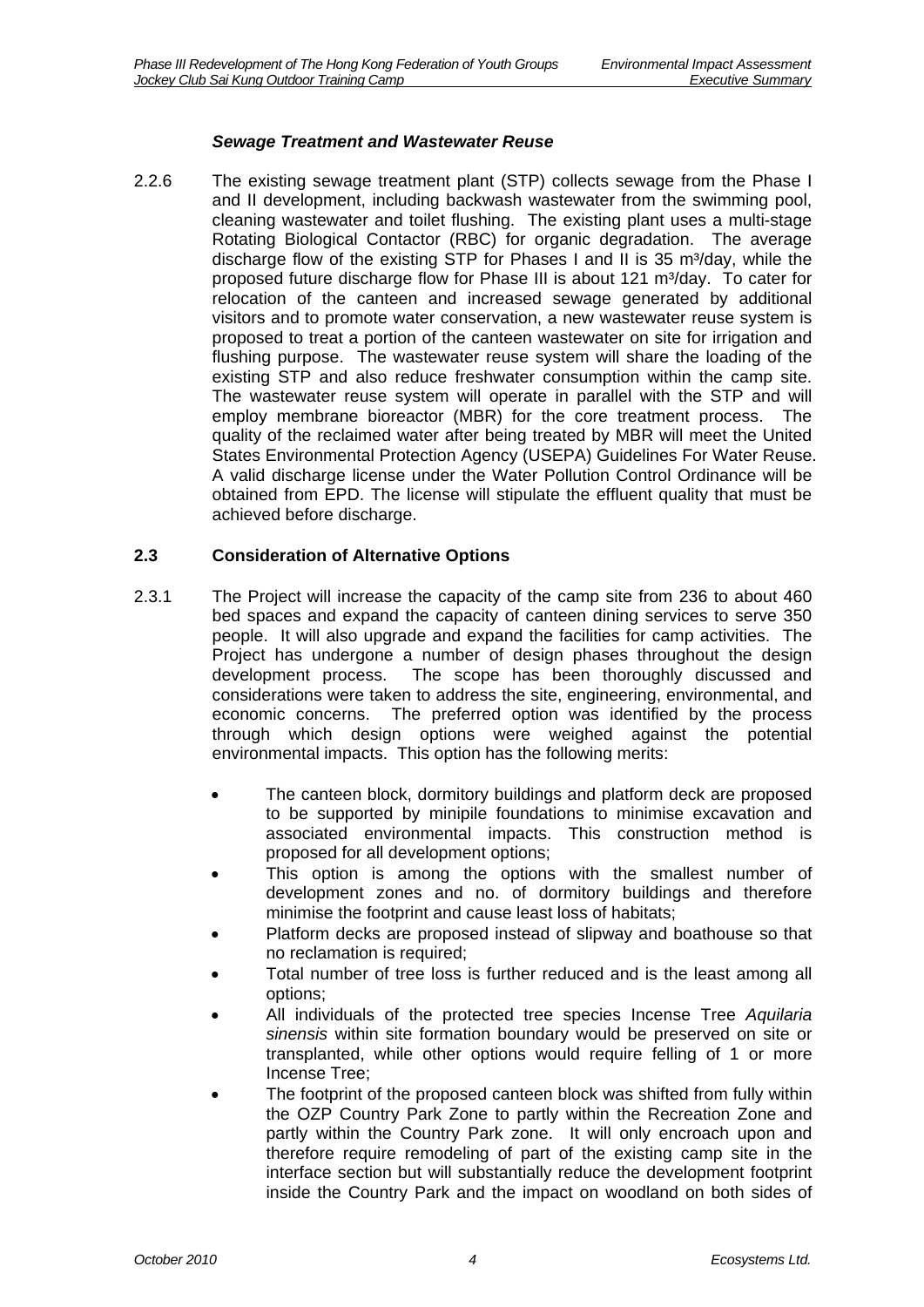#### *Sewage Treatment and Wastewater Reuse*

2.2.6 The existing sewage treatment plant (STP) collects sewage from the Phase I and II development, including backwash wastewater from the swimming pool, cleaning wastewater and toilet flushing. The existing plant uses a multi-stage Rotating Biological Contactor (RBC) for organic degradation. The average discharge flow of the existing STP for Phases I and II is 35 m<sup>3</sup>/day, while the proposed future discharge flow for Phase III is about 121 m<sup>3</sup>/day. To cater for relocation of the canteen and increased sewage generated by additional visitors and to promote water conservation, a new wastewater reuse system is proposed to treat a portion of the canteen wastewater on site for irrigation and flushing purpose. The wastewater reuse system will share the loading of the existing STP and also reduce freshwater consumption within the camp site. The wastewater reuse system will operate in parallel with the STP and will employ membrane bioreactor (MBR) for the core treatment process. The quality of the reclaimed water after being treated by MBR will meet the United States Environmental Protection Agency (USEPA) Guidelines For Water Reuse. A valid discharge license under the Water Pollution Control Ordinance will be obtained from EPD. The license will stipulate the effluent quality that must be achieved before discharge.

#### <span id="page-4-0"></span>**2.3 Consideration of Alternative Options**

- 2.3.1 The Project will increase the capacity of the camp site from 236 to about 460 bed spaces and expand the capacity of canteen dining services to serve 350 people. It will also upgrade and expand the facilities for camp activities. The Project has undergone a number of design phases throughout the design development process. The scope has been thoroughly discussed and considerations were taken to address the site, engineering, environmental, and economic concerns. The preferred option was identified by the process through which design options were weighed against the potential environmental impacts. This option has the following merits:
	- The canteen block, dormitory buildings and platform deck are proposed to be supported by minipile foundations to minimise excavation and associated environmental impacts. This construction method is proposed for all development options;
	- This option is among the options with the smallest number of development zones and no. of dormitory buildings and therefore minimise the footprint and cause least loss of habitats;
	- Platform decks are proposed instead of slipway and boathouse so that no reclamation is required;
	- Total number of tree loss is further reduced and is the least among all options;
	- All individuals of the protected tree species Incense Tree *Aquilaria sinensis* within site formation boundary would be preserved on site or transplanted, while other options would require felling of 1 or more Incense Tree;
	- The footprint of the proposed canteen block was shifted from fully within the OZP Country Park Zone to partly within the Recreation Zone and partly within the Country Park zone. It will only encroach upon and therefore require remodeling of part of the existing camp site in the interface section but will substantially reduce the development footprint inside the Country Park and the impact on woodland on both sides of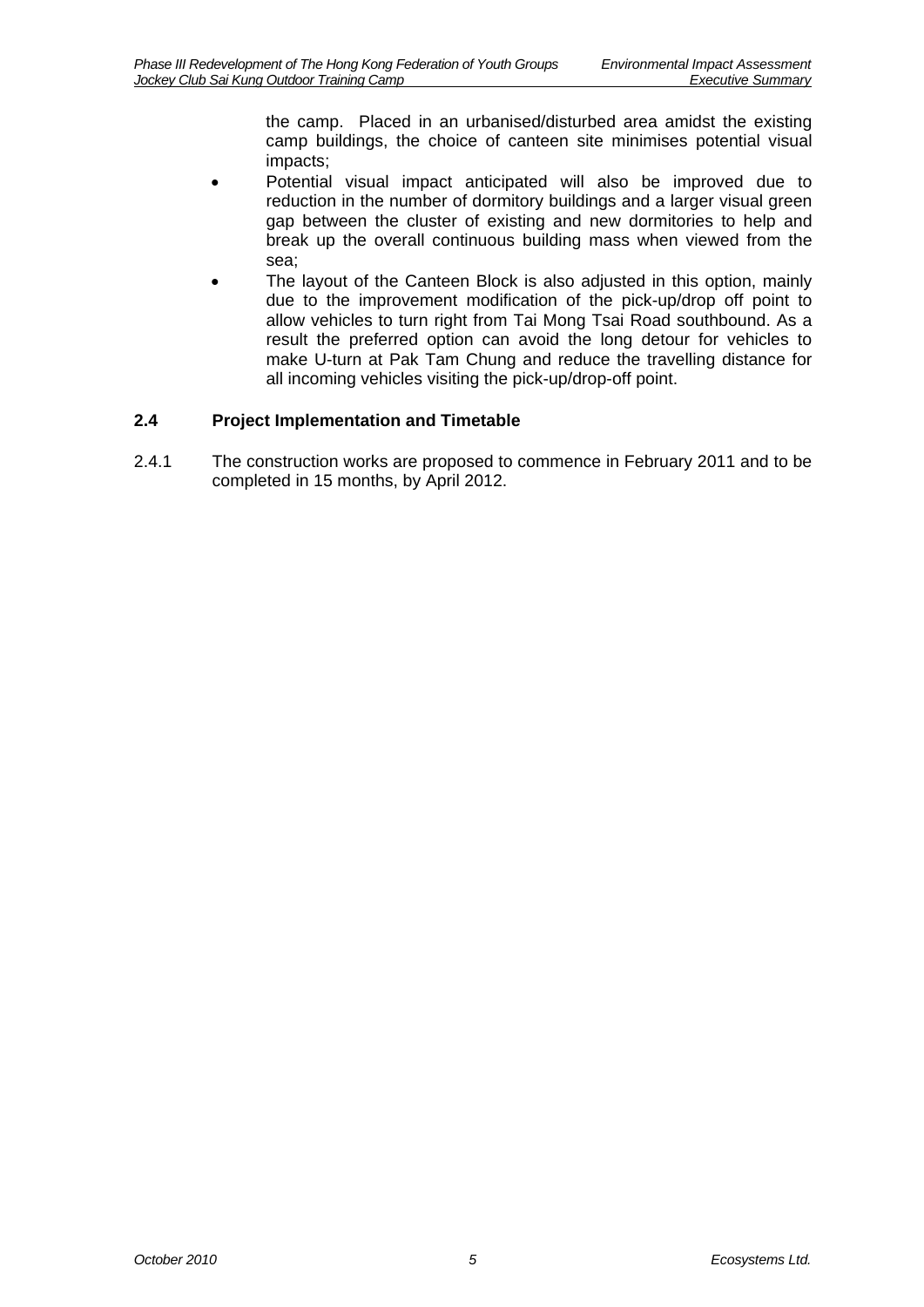the camp. Placed in an urbanised/disturbed area amidst the existing camp buildings, the choice of canteen site minimises potential visual impacts;

- Potential visual impact anticipated will also be improved due to reduction in the number of dormitory buildings and a larger visual green gap between the cluster of existing and new dormitories to help and break up the overall continuous building mass when viewed from the sea;
- The layout of the Canteen Block is also adjusted in this option, mainly due to the improvement modification of the pick-up/drop off point to allow vehicles to turn right from Tai Mong Tsai Road southbound. As a result the preferred option can avoid the long detour for vehicles to make U-turn at Pak Tam Chung and reduce the travelling distance for all incoming vehicles visiting the pick-up/drop-off point.

## <span id="page-5-0"></span>**2.4 Project Implementation and Timetable**

2.4.1 The construction works are proposed to commence in February 2011 and to be completed in 15 months, by April 2012.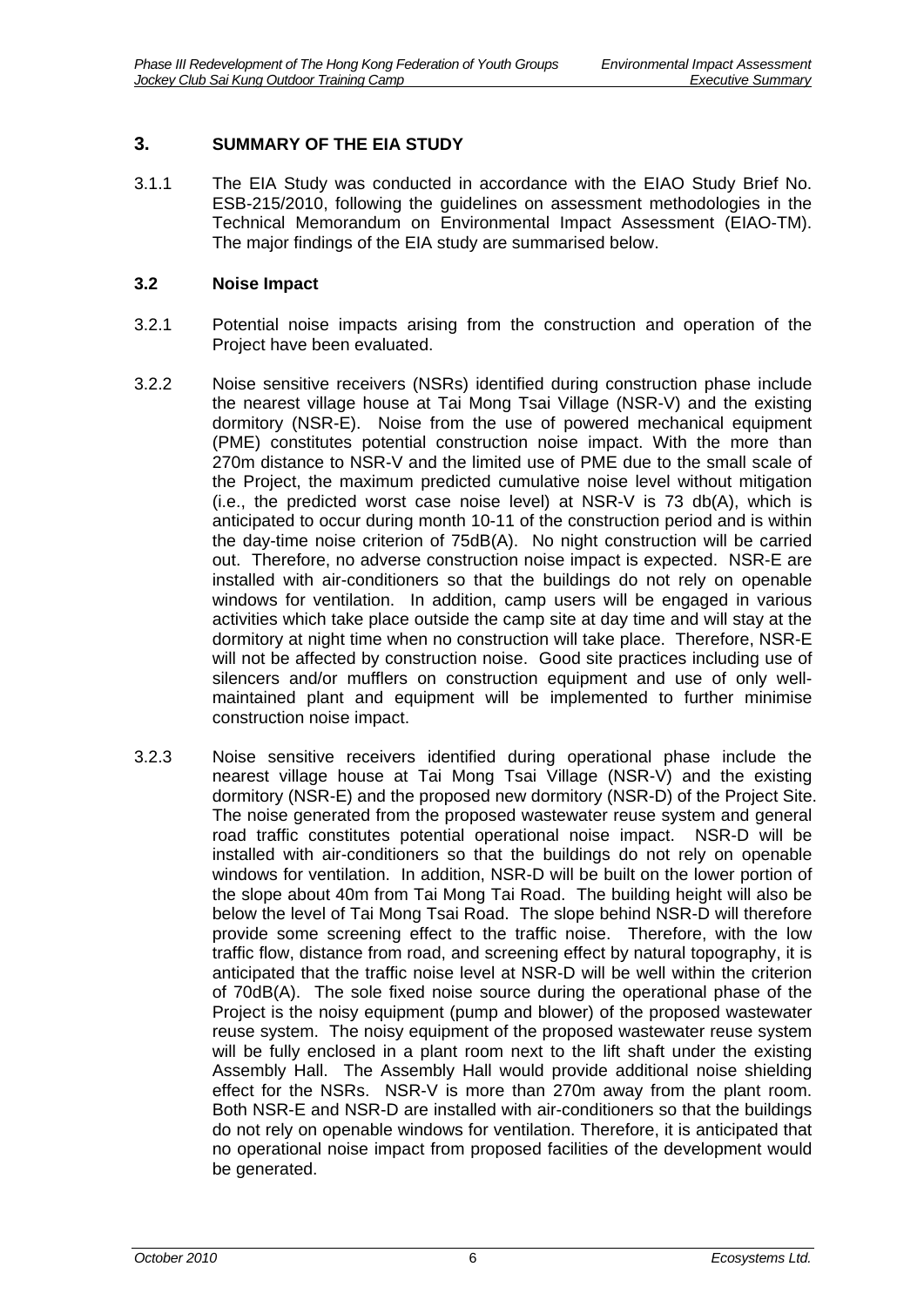## <span id="page-6-0"></span>**3. SUMMARY OF THE EIA STUDY**

3.1.1 The EIA Study was conducted in accordance with the EIAO Study Brief No. ESB-215/2010, following the guidelines on assessment methodologies in the Technical Memorandum on Environmental Impact Assessment (EIAO-TM). The major findings of the EIA study are summarised below.

#### <span id="page-6-1"></span>**3.2 Noise Impact**

- 3.2.1 Potential noise impacts arising from the construction and operation of the Project have been evaluated.
- 3.2.2 Noise sensitive receivers (NSRs) identified during construction phase include the nearest village house at Tai Mong Tsai Village (NSR-V) and the existing dormitory (NSR-E). Noise from the use of powered mechanical equipment (PME) constitutes potential construction noise impact. With the more than 270m distance to NSR-V and the limited use of PME due to the small scale of the Project, the maximum predicted cumulative noise level without mitigation (i.e., the predicted worst case noise level) at NSR-V is 73 db(A), which is anticipated to occur during month 10-11 of the construction period and is within the day-time noise criterion of 75dB(A). No night construction will be carried out. Therefore, no adverse construction noise impact is expected. NSR-E are installed with air-conditioners so that the buildings do not rely on openable windows for ventilation. In addition, camp users will be engaged in various activities which take place outside the camp site at day time and will stay at the dormitory at night time when no construction will take place. Therefore, NSR-E will not be affected by construction noise. Good site practices including use of silencers and/or mufflers on construction equipment and use of only wellmaintained plant and equipment will be implemented to further minimise construction noise impact.
- 3.2.3 Noise sensitive receivers identified during operational phase include the nearest village house at Tai Mong Tsai Village (NSR-V) and the existing dormitory (NSR-E) and the proposed new dormitory (NSR-D) of the Project Site. The noise generated from the proposed wastewater reuse system and general road traffic constitutes potential operational noise impact. NSR-D will be installed with air-conditioners so that the buildings do not rely on openable windows for ventilation. In addition, NSR-D will be built on the lower portion of the slope about 40m from Tai Mong Tai Road. The building height will also be below the level of Tai Mong Tsai Road. The slope behind NSR-D will therefore provide some screening effect to the traffic noise. Therefore, with the low traffic flow, distance from road, and screening effect by natural topography, it is anticipated that the traffic noise level at NSR-D will be well within the criterion of 70dB(A). The sole fixed noise source during the operational phase of the Project is the noisy equipment (pump and blower) of the proposed wastewater reuse system. The noisy equipment of the proposed wastewater reuse system will be fully enclosed in a plant room next to the lift shaft under the existing Assembly Hall. The Assembly Hall would provide additional noise shielding effect for the NSRs. NSR-V is more than 270m away from the plant room. Both NSR-E and NSR-D are installed with air-conditioners so that the buildings do not rely on openable windows for ventilation. Therefore, it is anticipated that no operational noise impact from proposed facilities of the development would be generated.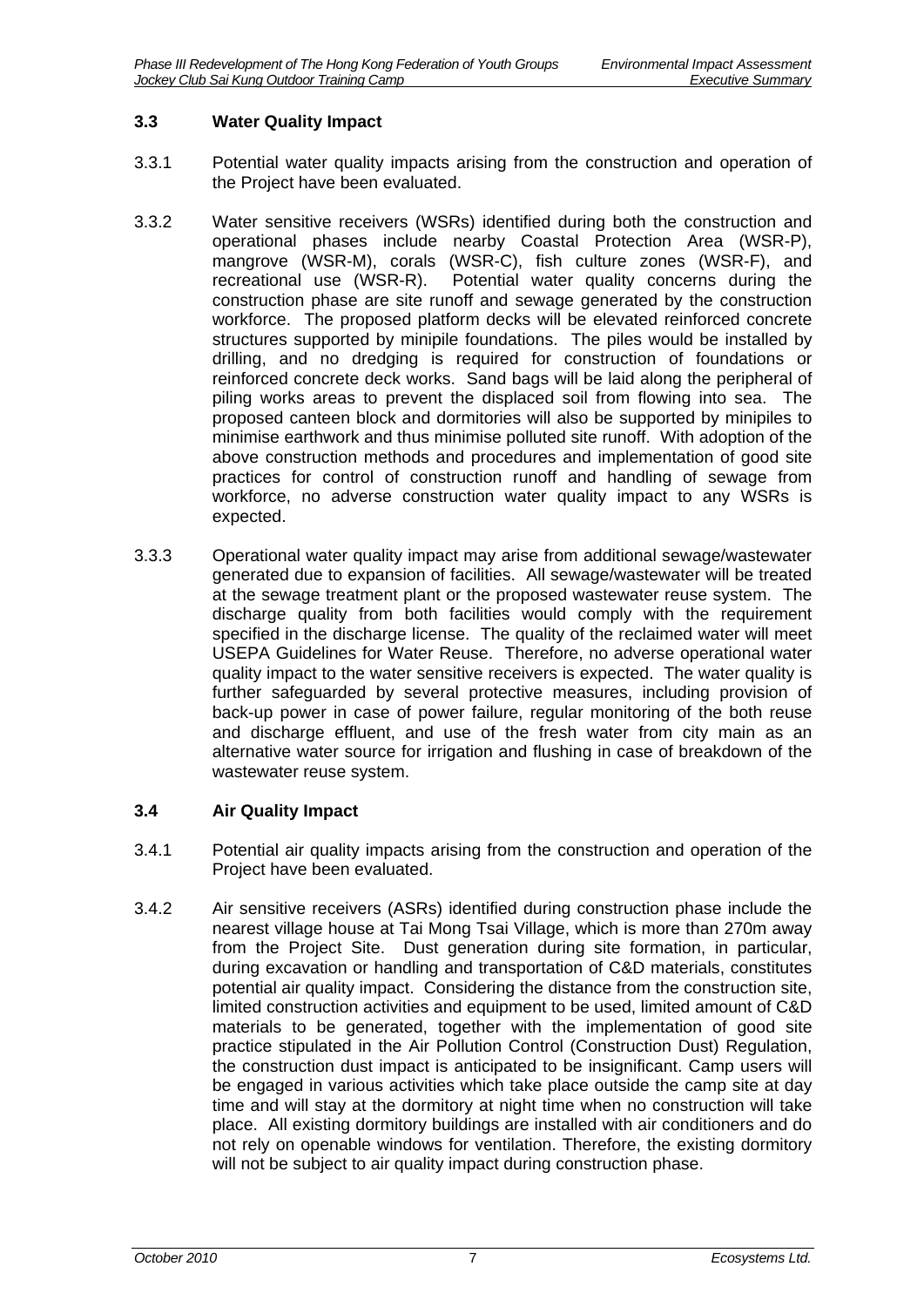#### <span id="page-7-0"></span>**3.3 Water Quality Impact**

- 3.3.1 Potential water quality impacts arising from the construction and operation of the Project have been evaluated.
- 3.3.2 Water sensitive receivers (WSRs) identified during both the construction and operational phases include nearby Coastal Protection Area (WSR-P), mangrove (WSR-M), corals (WSR-C), fish culture zones (WSR-F), and recreational use (WSR-R). Potential water quality concerns during the Potential water quality concerns during the construction phase are site runoff and sewage generated by the construction workforce. The proposed platform decks will be elevated reinforced concrete structures supported by minipile foundations. The piles would be installed by drilling, and no dredging is required for construction of foundations or reinforced concrete deck works. Sand bags will be laid along the peripheral of piling works areas to prevent the displaced soil from flowing into sea. The proposed canteen block and dormitories will also be supported by minipiles to minimise earthwork and thus minimise polluted site runoff. With adoption of the above construction methods and procedures and implementation of good site practices for control of construction runoff and handling of sewage from workforce, no adverse construction water quality impact to any WSRs is expected.
- 3.3.3 Operational water quality impact may arise from additional sewage/wastewater generated due to expansion of facilities. All sewage/wastewater will be treated at the sewage treatment plant or the proposed wastewater reuse system. The discharge quality from both facilities would comply with the requirement specified in the discharge license. The quality of the reclaimed water will meet USEPA Guidelines for Water Reuse. Therefore, no adverse operational water quality impact to the water sensitive receivers is expected. The water quality is further safeguarded by several protective measures, including provision of back-up power in case of power failure, regular monitoring of the both reuse and discharge effluent, and use of the fresh water from city main as an alternative water source for irrigation and flushing in case of breakdown of the wastewater reuse system.

## <span id="page-7-1"></span>**3.4 Air Quality Impact**

- 3.4.1 Potential air quality impacts arising from the construction and operation of the Project have been evaluated.
- 3.4.2 Air sensitive receivers (ASRs) identified during construction phase include the nearest village house at Tai Mong Tsai Village, which is more than 270m away from the Project Site. Dust generation during site formation, in particular, during excavation or handling and transportation of C&D materials, constitutes potential air quality impact. Considering the distance from the construction site, limited construction activities and equipment to be used, limited amount of C&D materials to be generated, together with the implementation of good site practice stipulated in the Air Pollution Control (Construction Dust) Regulation, the construction dust impact is anticipated to be insignificant. Camp users will be engaged in various activities which take place outside the camp site at day time and will stay at the dormitory at night time when no construction will take place. All existing dormitory buildings are installed with air conditioners and do not rely on openable windows for ventilation. Therefore, the existing dormitory will not be subject to air quality impact during construction phase.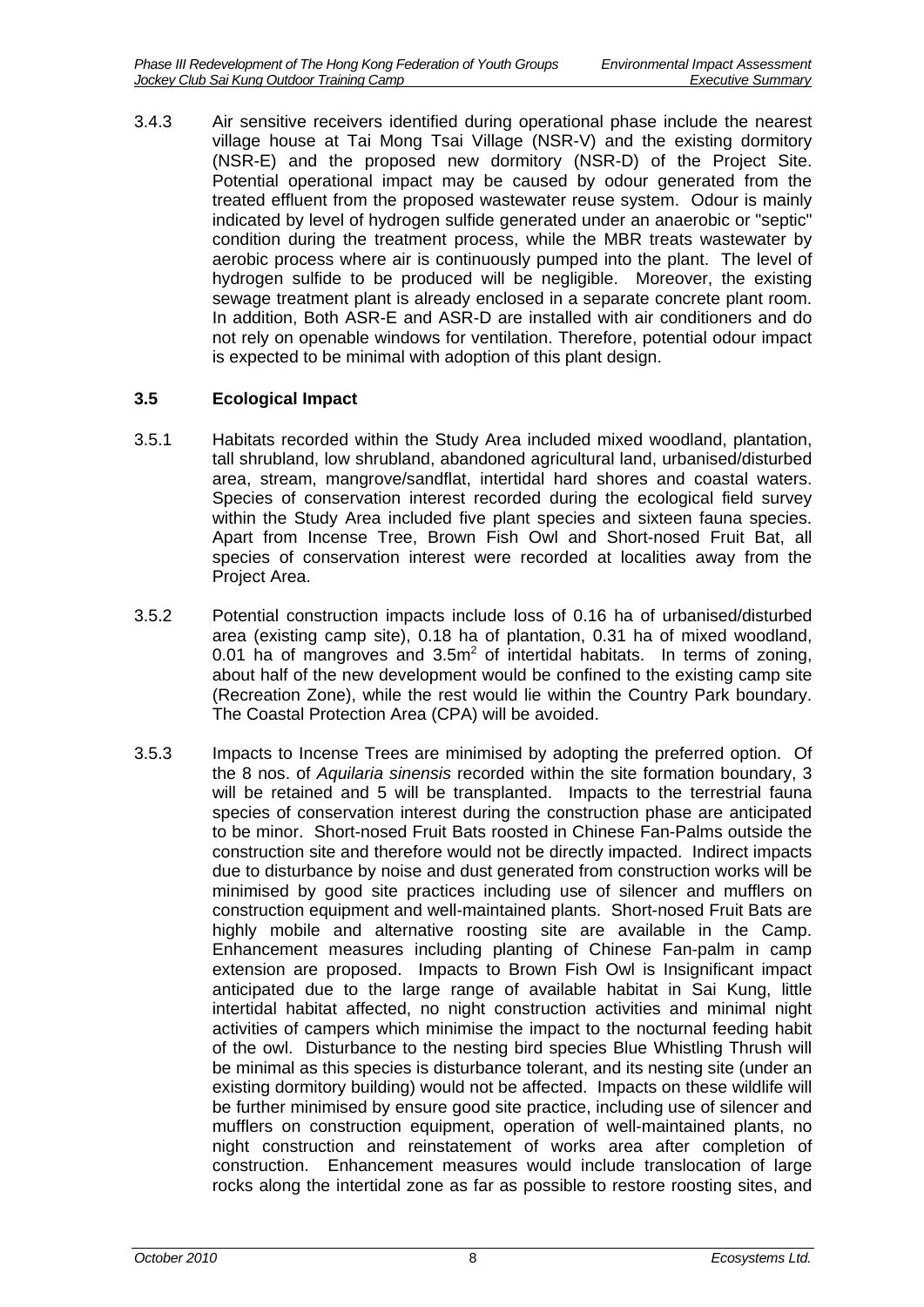3.4.3 Air sensitive receivers identified during operational phase include the nearest village house at Tai Mong Tsai Village (NSR-V) and the existing dormitory (NSR-E) and the proposed new dormitory (NSR-D) of the Project Site. Potential operational impact may be caused by odour generated from the treated effluent from the proposed wastewater reuse system. Odour is mainly indicated by level of hydrogen sulfide generated under an anaerobic or "septic" condition during the treatment process, while the MBR treats wastewater by aerobic process where air is continuously pumped into the plant. The level of hydrogen sulfide to be produced will be negligible. Moreover, the existing sewage treatment plant is already enclosed in a separate concrete plant room. In addition, Both ASR-E and ASR-D are installed with air conditioners and do not rely on openable windows for ventilation. Therefore, potential odour impact is expected to be minimal with adoption of this plant design.

# <span id="page-8-0"></span>**3.5 Ecological Impact**

- 3.5.1 Habitats recorded within the Study Area included mixed woodland, plantation, tall shrubland, low shrubland, abandoned agricultural land, urbanised/disturbed area, stream, mangrove/sandflat, intertidal hard shores and coastal waters. Species of conservation interest recorded during the ecological field survey within the Study Area included five plant species and sixteen fauna species. Apart from Incense Tree, Brown Fish Owl and Short-nosed Fruit Bat, all species of conservation interest were recorded at localities away from the Project Area.
- 3.5.2 Potential construction impacts include loss of 0.16 ha of urbanised/disturbed area (existing camp site), 0.18 ha of plantation, 0.31 ha of mixed woodland, 0.01 ha of mangroves and  $3.5m^2$  of intertidal habitats. In terms of zoning, about half of the new development would be confined to the existing camp site (Recreation Zone), while the rest would lie within the Country Park boundary. The Coastal Protection Area (CPA) will be avoided.
- 3.5.3 Impacts to Incense Trees are minimised by adopting the preferred option. Of the 8 nos. of *Aquilaria sinensis* recorded within the site formation boundary, 3 will be retained and 5 will be transplanted. Impacts to the terrestrial fauna species of conservation interest during the construction phase are anticipated to be minor. Short-nosed Fruit Bats roosted in Chinese Fan-Palms outside the construction site and therefore would not be directly impacted. Indirect impacts due to disturbance by noise and dust generated from construction works will be minimised by good site practices including use of silencer and mufflers on construction equipment and well-maintained plants. Short-nosed Fruit Bats are highly mobile and alternative roosting site are available in the Camp. Enhancement measures including planting of Chinese Fan-palm in camp extension are proposed. Impacts to Brown Fish Owl is Insignificant impact anticipated due to the large range of available habitat in Sai Kung, little intertidal habitat affected, no night construction activities and minimal night activities of campers which minimise the impact to the nocturnal feeding habit of the owl. Disturbance to the nesting bird species Blue Whistling Thrush will be minimal as this species is disturbance tolerant, and its nesting site (under an existing dormitory building) would not be affected. Impacts on these wildlife will be further minimised by ensure good site practice, including use of silencer and mufflers on construction equipment, operation of well-maintained plants, no night construction and reinstatement of works area after completion of construction. Enhancement measures would include translocation of large rocks along the intertidal zone as far as possible to restore roosting sites, and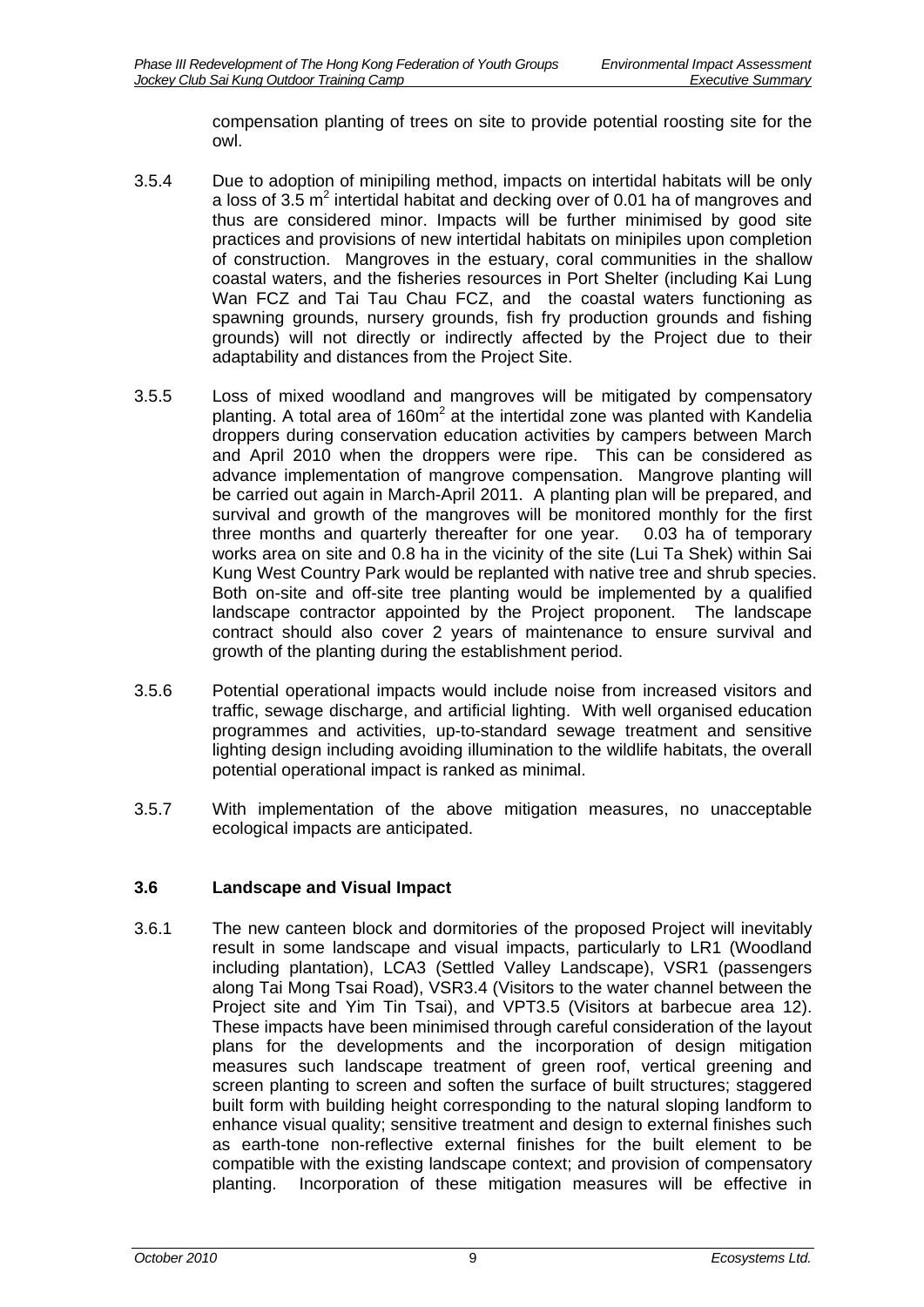compensation planting of trees on site to provide potential roosting site for the owl.

- 3.5.4 Due to adoption of minipiling method, impacts on intertidal habitats will be only a loss of 3.5  $m^2$  intertidal habitat and decking over of 0.01 ha of mangroves and thus are considered minor. Impacts will be further minimised by good site practices and provisions of new intertidal habitats on minipiles upon completion of construction. Mangroves in the estuary, coral communities in the shallow coastal waters, and the fisheries resources in Port Shelter (including Kai Lung Wan FCZ and Tai Tau Chau FCZ, and the coastal waters functioning as spawning grounds, nursery grounds, fish fry production grounds and fishing grounds) will not directly or indirectly affected by the Project due to their adaptability and distances from the Project Site.
- 3.5.5 Loss of mixed woodland and mangroves will be mitigated by compensatory planting. A total area of 160 $m^2$  at the intertidal zone was planted with Kandelia droppers during conservation education activities by campers between March and April 2010 when the droppers were ripe. This can be considered as advance implementation of mangrove compensation. Mangrove planting will be carried out again in March-April 2011. A planting plan will be prepared, and survival and growth of the mangroves will be monitored monthly for the first three months and quarterly thereafter for one year. 0.03 ha of temporary works area on site and 0.8 ha in the vicinity of the site (Lui Ta Shek) within Sai Kung West Country Park would be replanted with native tree and shrub species. Both on-site and off-site tree planting would be implemented by a qualified landscape contractor appointed by the Project proponent. The landscape contract should also cover 2 years of maintenance to ensure survival and growth of the planting during the establishment period.
- 3.5.6 Potential operational impacts would include noise from increased visitors and traffic, sewage discharge, and artificial lighting. With well organised education programmes and activities, up-to-standard sewage treatment and sensitive lighting design including avoiding illumination to the wildlife habitats, the overall potential operational impact is ranked as minimal.
- 3.5.7 With implementation of the above mitigation measures, no unacceptable ecological impacts are anticipated.

## <span id="page-9-0"></span>**3.6 Landscape and Visual Impact**

3.6.1 The new canteen block and dormitories of the proposed Project will inevitably result in some landscape and visual impacts, particularly to LR1 (Woodland including plantation), LCA3 (Settled Valley Landscape), VSR1 (passengers along Tai Mong Tsai Road), VSR3.4 (Visitors to the water channel between the Project site and Yim Tin Tsai), and VPT3.5 (Visitors at barbecue area 12). These impacts have been minimised through careful consideration of the layout plans for the developments and the incorporation of design mitigation measures such landscape treatment of green roof, vertical greening and screen planting to screen and soften the surface of built structures; staggered built form with building height corresponding to the natural sloping landform to enhance visual quality; sensitive treatment and design to external finishes such as earth-tone non-reflective external finishes for the built element to be compatible with the existing landscape context; and provision of compensatory planting. Incorporation of these mitigation measures will be effective in Incorporation of these mitigation measures will be effective in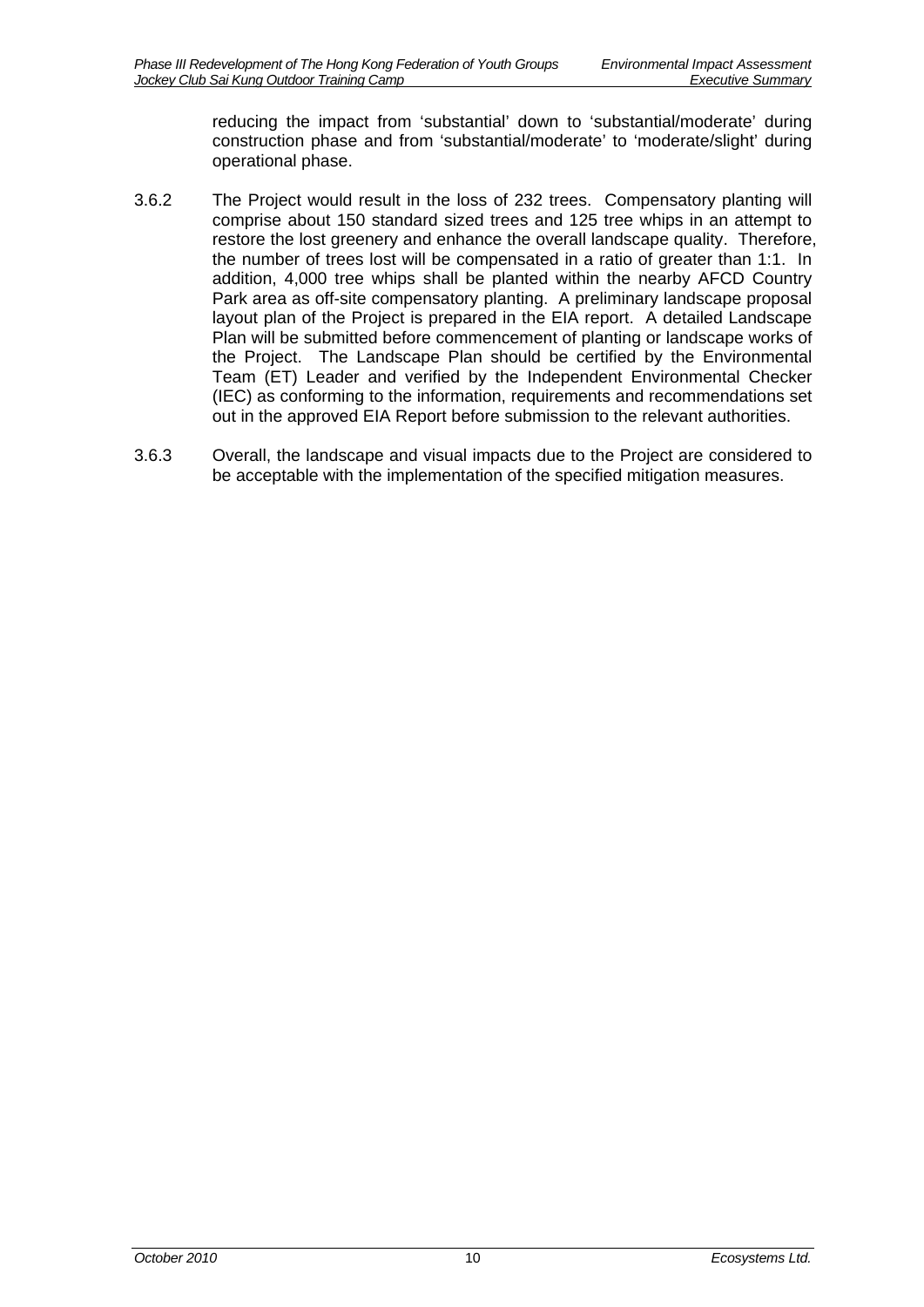reducing the impact from 'substantial' down to 'substantial/moderate' during construction phase and from 'substantial/moderate' to 'moderate/slight' during operational phase.

- 3.6.2 The Project would result in the loss of 232 trees. Compensatory planting will comprise about 150 standard sized trees and 125 tree whips in an attempt to restore the lost greenery and enhance the overall landscape quality. Therefore, the number of trees lost will be compensated in a ratio of greater than 1:1. In addition, 4,000 tree whips shall be planted within the nearby AFCD Country Park area as off-site compensatory planting. A preliminary landscape proposal layout plan of the Project is prepared in the EIA report. A detailed Landscape Plan will be submitted before commencement of planting or landscape works of the Project. The Landscape Plan should be certified by the Environmental Team (ET) Leader and verified by the Independent Environmental Checker (IEC) as conforming to the information, requirements and recommendations set out in the approved EIA Report before submission to the relevant authorities.
- 3.6.3 Overall, the landscape and visual impacts due to the Project are considered to be acceptable with the implementation of the specified mitigation measures.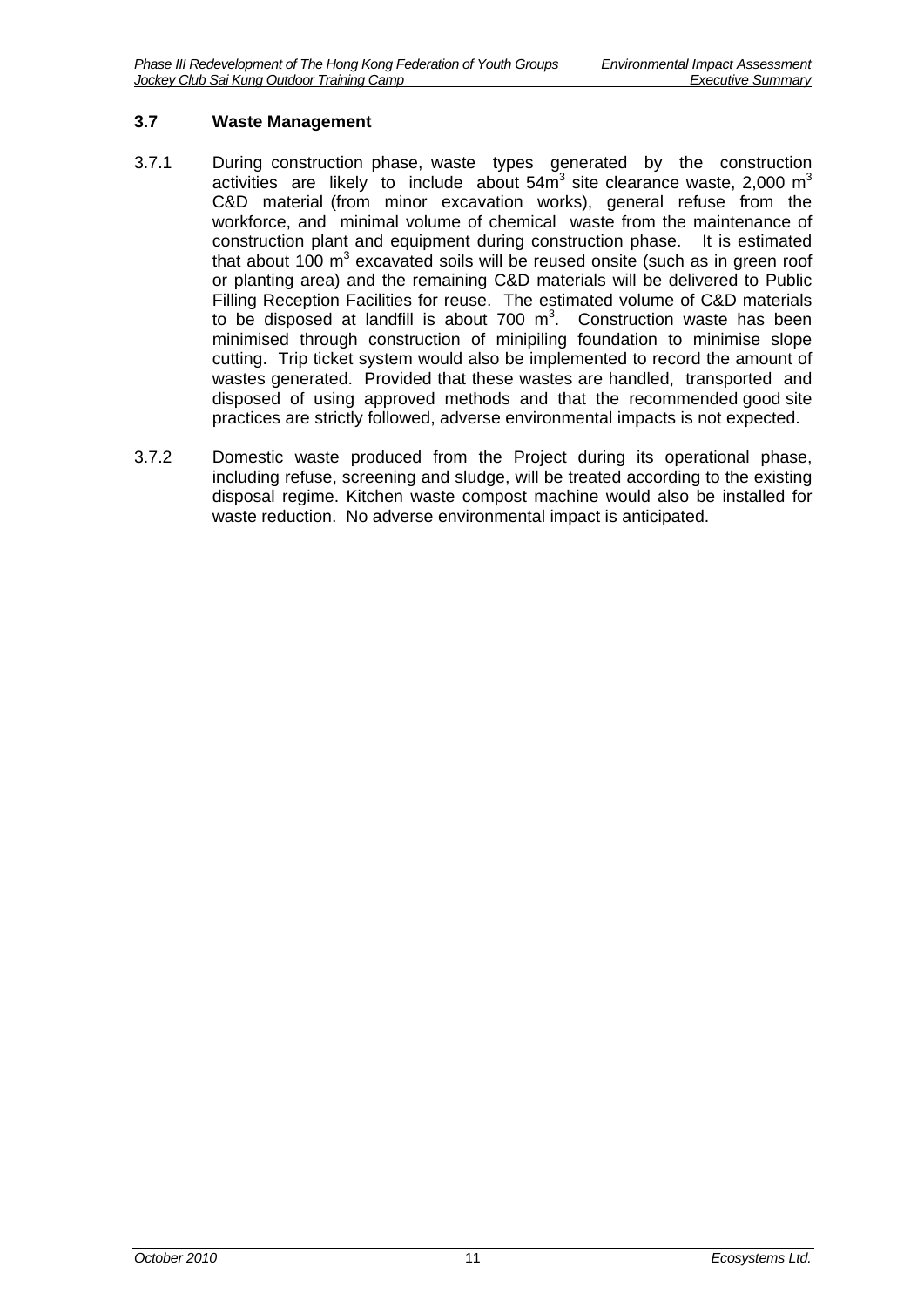#### <span id="page-11-0"></span>**3.7 Waste Management**

- 3.7.1 During construction phase, waste types generated by the construction activities are likely to include about  $54\text{m}^3$  site clearance waste, 2,000  $\text{m}^3$ C&D material (from minor excavation works), general refuse from the workforce, and minimal volume of chemical waste from the maintenance of construction plant and equipment during construction phase. It is estimated that about 100  $m^3$  excavated soils will be reused onsite (such as in green roof or planting area) and the remaining C&D materials will be delivered to Public Filling Reception Facilities for reuse. The estimated volume of C&D materials to be disposed at landfill is about 700  $m^3$ . Construction waste has been minimised through construction of minipiling foundation to minimise slope cutting. Trip ticket system would also be implemented to record the amount of wastes generated. Provided that these wastes are handled, transported and disposed of using approved methods and that the recommended good site practices are strictly followed, adverse environmental impacts is not expected.
- 3.7.2 Domestic waste produced from the Project during its operational phase, including refuse, screening and sludge, will be treated according to the existing disposal regime. Kitchen waste compost machine would also be installed for waste reduction. No adverse environmental impact is anticipated.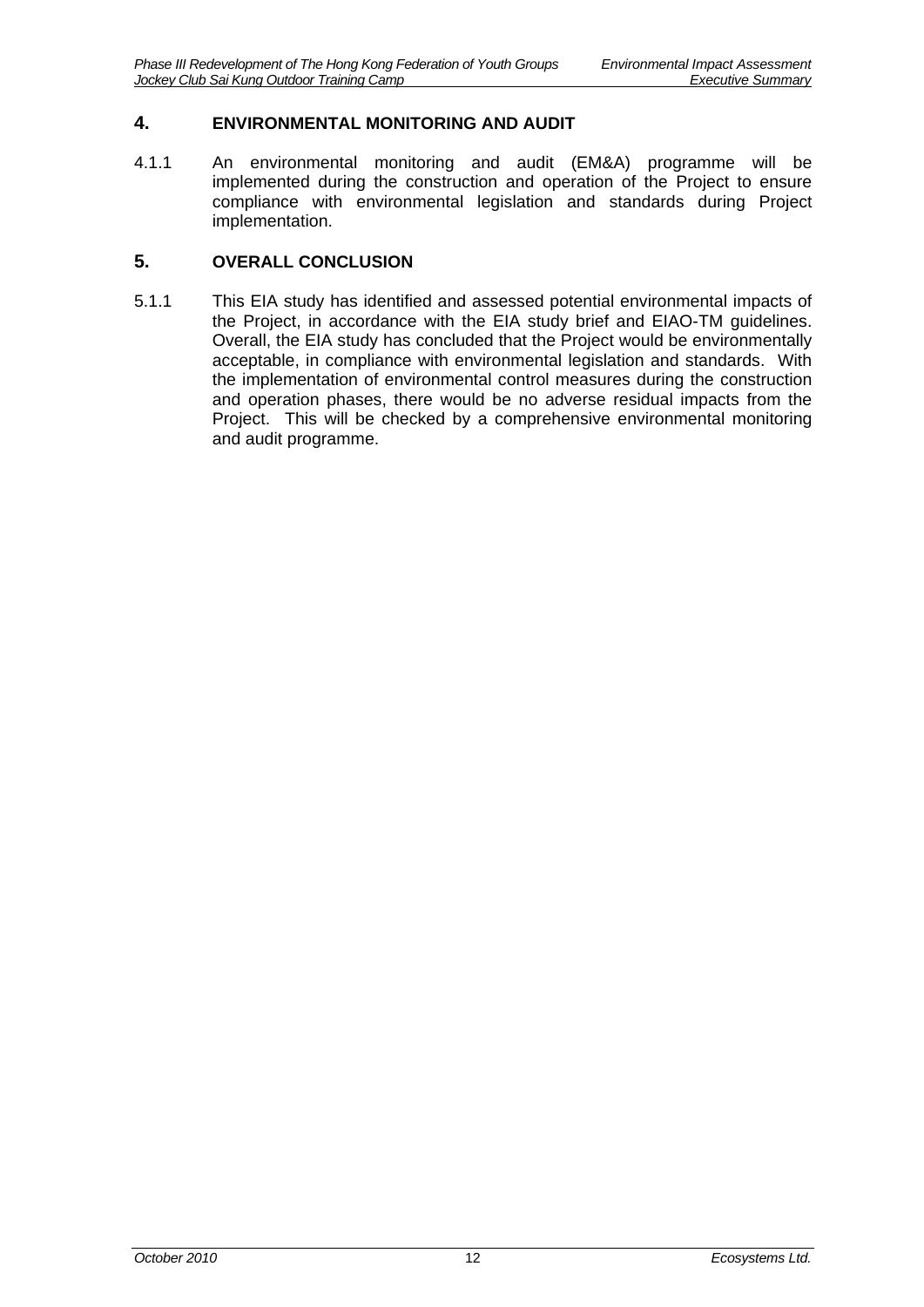#### <span id="page-12-0"></span>**4. ENVIRONMENTAL MONITORING AND AUDIT**

4.1.1 An environmental monitoring and audit (EM&A) programme will be implemented during the construction and operation of the Project to ensure compliance with environmental legislation and standards during Project implementation.

#### <span id="page-12-1"></span>**5. OVERALL CONCLUSION**

5.1.1 This EIA study has identified and assessed potential environmental impacts of the Project, in accordance with the EIA study brief and EIAO-TM guidelines. Overall, the EIA study has concluded that the Project would be environmentally acceptable, in compliance with environmental legislation and standards. With the implementation of environmental control measures during the construction and operation phases, there would be no adverse residual impacts from the Project. This will be checked by a comprehensive environmental monitoring and audit programme.